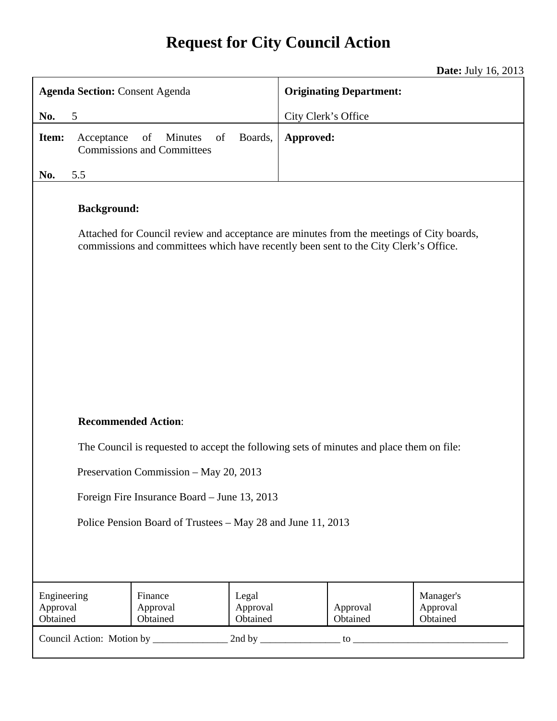# **Request for City Council Action**

**Date:** July 16, 2013

| <b>Agenda Section: Consent Agenda</b>                                                                                                                                                                  |            |                                                          |                               | <b>Originating Department:</b> |                      |                                   |
|--------------------------------------------------------------------------------------------------------------------------------------------------------------------------------------------------------|------------|----------------------------------------------------------|-------------------------------|--------------------------------|----------------------|-----------------------------------|
| No.                                                                                                                                                                                                    | 5          |                                                          | City Clerk's Office           |                                |                      |                                   |
| Item:                                                                                                                                                                                                  | Acceptance | Minutes<br>of<br>of<br><b>Commissions and Committees</b> | Boards,                       | Approved:                      |                      |                                   |
| No.                                                                                                                                                                                                    | 5.5        |                                                          |                               |                                |                      |                                   |
| <b>Background:</b><br>Attached for Council review and acceptance are minutes from the meetings of City boards,<br>commissions and committees which have recently been sent to the City Clerk's Office. |            |                                                          |                               |                                |                      |                                   |
| <b>Recommended Action:</b><br>The Council is requested to accept the following sets of minutes and place them on file:<br>Preservation Commission - May 20, 2013                                       |            |                                                          |                               |                                |                      |                                   |
|                                                                                                                                                                                                        |            |                                                          |                               |                                |                      |                                   |
| Foreign Fire Insurance Board – June 13, 2013<br>Police Pension Board of Trustees – May 28 and June 11, 2013                                                                                            |            |                                                          |                               |                                |                      |                                   |
| Engineering<br>Approval<br>Obtained                                                                                                                                                                    |            | Finance<br>Approval<br>Obtained                          | Legal<br>Approval<br>Obtained |                                | Approval<br>Obtained | Manager's<br>Approval<br>Obtained |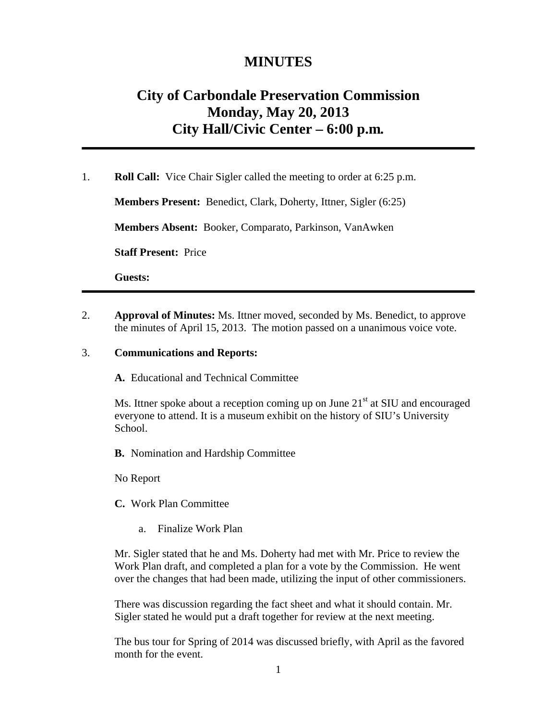## **MINUTES**

# **City of Carbondale Preservation Commission Monday, May 20, 2013 City Hall/Civic Center – 6:00 p.m***.*

1. **Roll Call:** Vice Chair Sigler called the meeting to order at 6:25 p.m.

**Members Present:** Benedict, Clark, Doherty, Ittner, Sigler (6:25)

**Members Absent:** Booker, Comparato, Parkinson, VanAwken

**Staff Present:** Price

**Guests:** 

2. **Approval of Minutes:** Ms. Ittner moved, seconded by Ms. Benedict, to approve the minutes of April 15, 2013. The motion passed on a unanimous voice vote.

#### 3. **Communications and Reports:**

**A.** Educational and Technical Committee

Ms. Ittner spoke about a reception coming up on June  $21<sup>st</sup>$  at SIU and encouraged everyone to attend. It is a museum exhibit on the history of SIU's University School.

**B.** Nomination and Hardship Committee

No Report

**C.** Work Plan Committee

a. Finalize Work Plan

Mr. Sigler stated that he and Ms. Doherty had met with Mr. Price to review the Work Plan draft, and completed a plan for a vote by the Commission. He went over the changes that had been made, utilizing the input of other commissioners.

There was discussion regarding the fact sheet and what it should contain. Mr. Sigler stated he would put a draft together for review at the next meeting.

The bus tour for Spring of 2014 was discussed briefly, with April as the favored month for the event.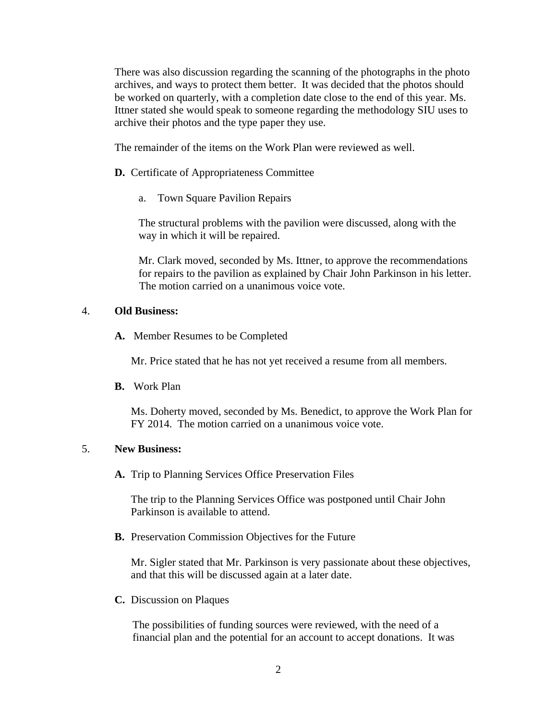There was also discussion regarding the scanning of the photographs in the photo archives, and ways to protect them better. It was decided that the photos should be worked on quarterly, with a completion date close to the end of this year. Ms. Ittner stated she would speak to someone regarding the methodology SIU uses to archive their photos and the type paper they use.

The remainder of the items on the Work Plan were reviewed as well.

- **D.** Certificate of Appropriateness Committee
	- a. Town Square Pavilion Repairs

The structural problems with the pavilion were discussed, along with the way in which it will be repaired.

Mr. Clark moved, seconded by Ms. Ittner, to approve the recommendations for repairs to the pavilion as explained by Chair John Parkinson in his letter. The motion carried on a unanimous voice vote.

#### 4. **Old Business:**

**A.** Member Resumes to be Completed

Mr. Price stated that he has not yet received a resume from all members.

**B.** Work Plan

Ms. Doherty moved, seconded by Ms. Benedict, to approve the Work Plan for FY 2014. The motion carried on a unanimous voice vote.

#### 5. **New Business:**

**A.** Trip to Planning Services Office Preservation Files

The trip to the Planning Services Office was postponed until Chair John Parkinson is available to attend.

**B.** Preservation Commission Objectives for the Future

Mr. Sigler stated that Mr. Parkinson is very passionate about these objectives, and that this will be discussed again at a later date.

**C.** Discussion on Plaques

The possibilities of funding sources were reviewed, with the need of a financial plan and the potential for an account to accept donations. It was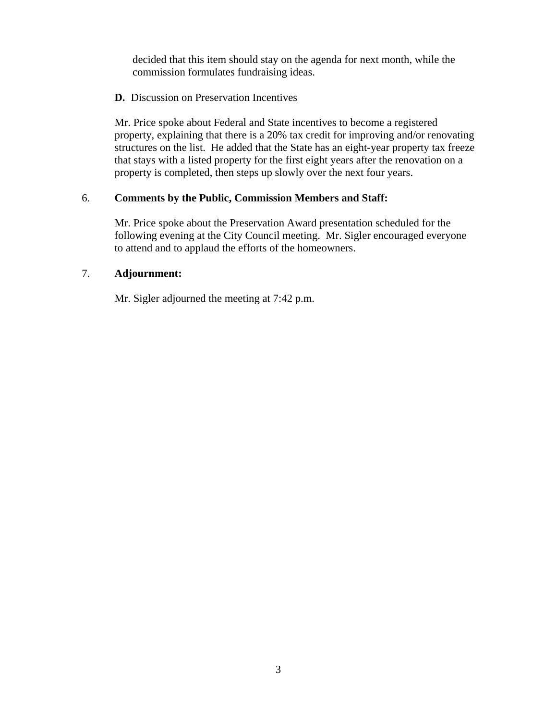decided that this item should stay on the agenda for next month, while the commission formulates fundraising ideas.

#### **D.** Discussion on Preservation Incentives

Mr. Price spoke about Federal and State incentives to become a registered property, explaining that there is a 20% tax credit for improving and/or renovating structures on the list. He added that the State has an eight-year property tax freeze that stays with a listed property for the first eight years after the renovation on a property is completed, then steps up slowly over the next four years.

#### 6. **Comments by the Public, Commission Members and Staff:**

Mr. Price spoke about the Preservation Award presentation scheduled for the following evening at the City Council meeting. Mr. Sigler encouraged everyone to attend and to applaud the efforts of the homeowners.

### 7. **Adjournment:**

Mr. Sigler adjourned the meeting at 7:42 p.m.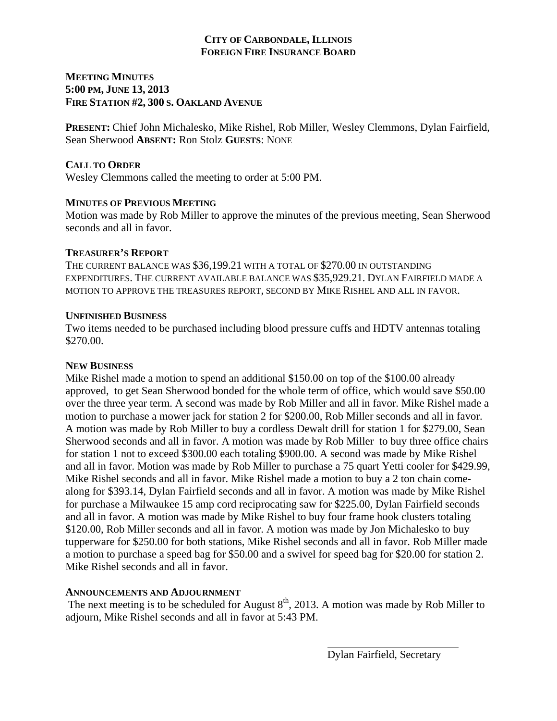### **CITY OF CARBONDALE, ILLINOIS FOREIGN FIRE INSURANCE BOARD**

## **MEETING MINUTES 5:00 PM, JUNE 13, 2013 FIRE STATION #2, 300 S. OAKLAND AVENUE**

**PRESENT:** Chief John Michalesko, Mike Rishel, Rob Miller, Wesley Clemmons, Dylan Fairfield, Sean Sherwood **ABSENT:** Ron Stolz **GUESTS**: NONE

## **CALL TO ORDER**

Wesley Clemmons called the meeting to order at 5:00 PM.

#### **MINUTES OF PREVIOUS MEETING**

Motion was made by Rob Miller to approve the minutes of the previous meeting, Sean Sherwood seconds and all in favor.

### **TREASURER'S REPORT**

THE CURRENT BALANCE WAS \$36,199.21 WITH A TOTAL OF \$270.00 IN OUTSTANDING EXPENDITURES. THE CURRENT AVAILABLE BALANCE WAS \$35,929.21. DYLAN FAIRFIELD MADE A MOTION TO APPROVE THE TREASURES REPORT, SECOND BY MIKE RISHEL AND ALL IN FAVOR.

### **UNFINISHED BUSINESS**

Two items needed to be purchased including blood pressure cuffs and HDTV antennas totaling \$270.00.

## **NEW BUSINESS**

Mike Rishel made a motion to spend an additional \$150.00 on top of the \$100.00 already approved, to get Sean Sherwood bonded for the whole term of office, which would save \$50.00 over the three year term. A second was made by Rob Miller and all in favor. Mike Rishel made a motion to purchase a mower jack for station 2 for \$200.00, Rob Miller seconds and all in favor. A motion was made by Rob Miller to buy a cordless Dewalt drill for station 1 for \$279.00, Sean Sherwood seconds and all in favor. A motion was made by Rob Miller to buy three office chairs for station 1 not to exceed \$300.00 each totaling \$900.00. A second was made by Mike Rishel and all in favor. Motion was made by Rob Miller to purchase a 75 quart Yetti cooler for \$429.99, Mike Rishel seconds and all in favor. Mike Rishel made a motion to buy a 2 ton chain comealong for \$393.14, Dylan Fairfield seconds and all in favor. A motion was made by Mike Rishel for purchase a Milwaukee 15 amp cord reciprocating saw for \$225.00, Dylan Fairfield seconds and all in favor. A motion was made by Mike Rishel to buy four frame hook clusters totaling \$120.00, Rob Miller seconds and all in favor. A motion was made by Jon Michalesko to buy tupperware for \$250.00 for both stations, Mike Rishel seconds and all in favor. Rob Miller made a motion to purchase a speed bag for \$50.00 and a swivel for speed bag for \$20.00 for station 2. Mike Rishel seconds and all in favor.

## **ANNOUNCEMENTS AND ADJOURNMENT**

The next meeting is to be scheduled for August  $8<sup>th</sup>$ , 2013. A motion was made by Rob Miller to adjourn, Mike Rishel seconds and all in favor at 5:43 PM.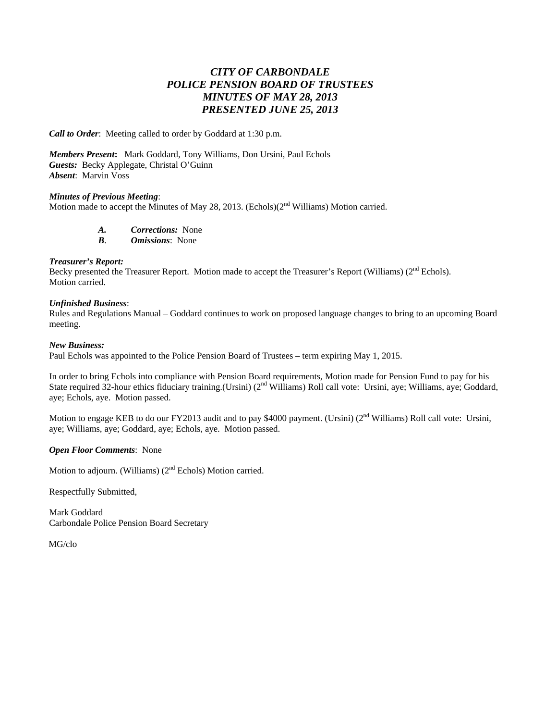## *CITY OF CARBONDALE POLICE PENSION BOARD OF TRUSTEES MINUTES OF MAY 28, 2013 PRESENTED JUNE 25, 2013*

*Call to Order*: Meeting called to order by Goddard at 1:30 p.m.

*Members Present***:** Mark Goddard, Tony Williams, Don Ursini, Paul Echols *Guests:* Becky Applegate, Christal O'Guinn *Absent*: Marvin Voss

#### *Minutes of Previous Meeting*:

Motion made to accept the Minutes of May 28, 2013. (Echols)(2<sup>nd</sup> Williams) Motion carried.

*A. Corrections:* None

*B*. *Omissions*: None

#### *Treasurer's Report:*

Becky presented the Treasurer Report. Motion made to accept the Treasurer's Report (Williams) (2<sup>nd</sup> Echols). Motion carried.

#### *Unfinished Business*:

Rules and Regulations Manual – Goddard continues to work on proposed language changes to bring to an upcoming Board meeting.

#### *New Business:*

Paul Echols was appointed to the Police Pension Board of Trustees – term expiring May 1, 2015.

In order to bring Echols into compliance with Pension Board requirements, Motion made for Pension Fund to pay for his State required 32-hour ethics fiduciary training.(Ursini) ( $2<sup>nd</sup>$  Williams) Roll call vote: Ursini, aye; Williams, aye; Goddard, aye; Echols, aye. Motion passed.

Motion to engage KEB to do our FY2013 audit and to pay \$4000 payment. (Ursini) ( $2<sup>nd</sup>$  Williams) Roll call vote: Ursini, aye; Williams, aye; Goddard, aye; Echols, aye. Motion passed.

#### *Open Floor Comments*: None

Motion to adjourn. (Williams) (2<sup>nd</sup> Echols) Motion carried.

Respectfully Submitted,

Mark Goddard Carbondale Police Pension Board Secretary

MG/clo